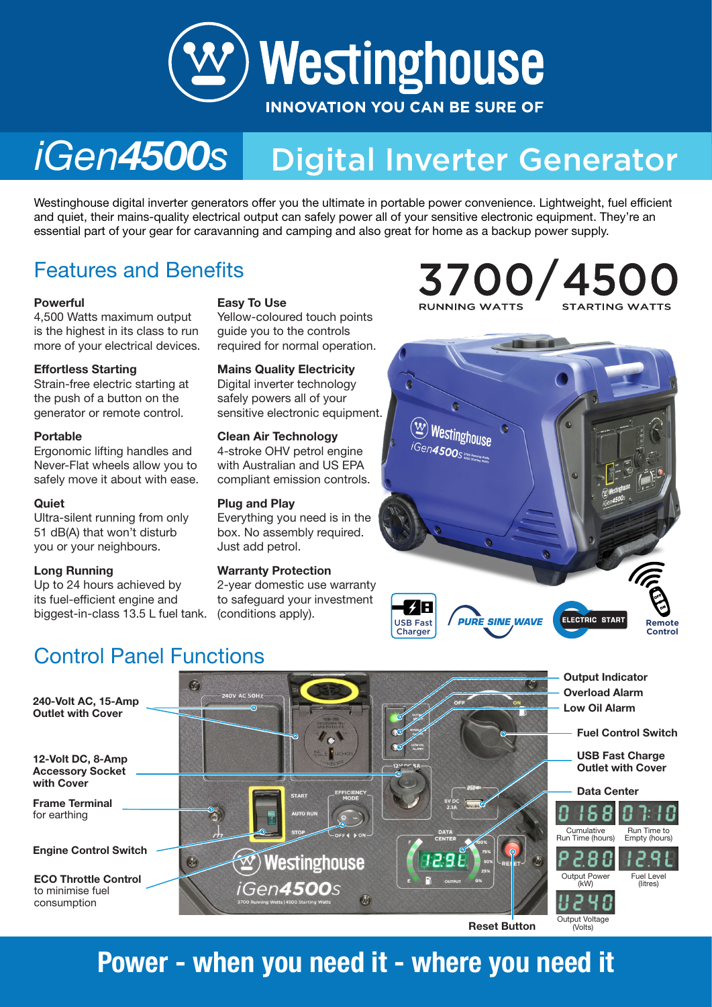

### Digital Inverter Generator *iGen4500s*

Westinghouse digital inverter generators offer you the ultimate in portable power convenience. Lightweight, fuel efficient<br>and quiet, their mains-quality electrical output can safely power all of vour sensitive electronic and quiet, their mains-quality electrical output can safely power all of your sensitive electronic equipment. They're an essential part of your gear for caravanning and camping and also great for home as a backup power supply.

### Features and Benefits

4,500 Watts maximum output is the highest in its class to run more of your electrical devices.

### Effortless Starting

Strain-free electric starting at the push of a button on the generator or remote control.

### Portable

Ergonomic lifting handles and Never-Flat wheels allow you to safely move it about with ease.

#### **Quiet**

Ultra-silent running from only 51 dB(A) that won't disturb you or your neighbours.

#### Long Running

Up to 24 hours achieved by its fuel-efficient engine and biggest-in-class 13.5 L fuel tank.

### Easy To Use

Yellow-coloured touch points guide you to the controls required for normal operation.

Mains Quality Electricity Digital inverter technology safely powers all of your sensitive electronic equipment.

### Clean Air Technology

4-stroke OHV petrol engine with Australian and US EPA compliant emission controls.

#### Plug and Play

Everything you need is in the box. No assembly required. Just add petrol.

#### Warranty Protection

2-year domestic use warranty to safeguard your investment (conditions apply).





### Control Panel Functions



## Power - when you need it - where you need it